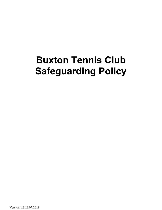# **Buxton Tennis Club Safeguarding Policy**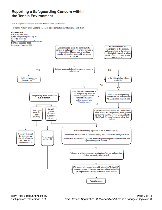## Reporting a Safeguarding Concern within the Tennis Environment

How to respond to concerns that arise within a tennis environment.

For Tennis Wales / Tennis Scotland cases, on-going consultation will take place with them.

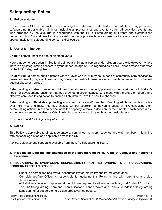## **Safeguarding Policy**

#### **1. Policy statement**

Buxton Tennis Club is committed to prioritising the well-being of all children and adults at risk, promoting safeguarding in our club at all times, including all programmes and events we run. All activities, events and trips arranged by the club run in accordance with the LTA's Safeguarding at Events and Competitions guidance. This Policy strives to minimise risk, deliver a positive tennis experience for everyone and respond appropriately to all safeguarding concerns/disclosures.

#### **2. Use of terminology**

**Child:** a person under the age of eighteen years.

Note that some legislation in Scotland defines a child as a person under sixteen years old. However, where there is any safeguarding concern, anyone under the age of 18 is regarded as a child unless advised otherwise by the LTA Safeguarding Team .

**Adult at risk:** a person aged eighteen years or over who is, or may be, in need of community care services by reason of disability, age or illness; and is, or may be, unable to take care of, or unable to protect him or herself against abuse or neglect.

**Safeguarding children:** protecting children from abuse and neglect, preventing the impairment of children's health or development, ensuring that they grow up in circumstances consistent with the provision of safe and effective care, and taking action to enable all children to have the best life chances.

**Safeguarding adults at risk:** protecting adults from abuse and/or neglect. Enabling adults to maintain control over their lives and make informed choices without coercion. Empowering adults at risk, consulting them before taking action, unless someone lacks the capacity to make a decision, or their mental health poses a risk to their own or someone else's safety, in which case, always acting in his or her best interests.

*(See appendix A for full glossary of terms)*.

#### **3. Scope**

This Policy is applicable to all staff, volunteers, committee members, coaches and club members. It is in line with national legislation and applicable across the UK.

Advice, guidance and support is available from the LTA Safeguarding Team.

#### **4. Responsibility for the implementation of the Safeguarding Policy, Code of Conduct and Reporting Procedure**

#### **SAFEGUARDING IS EVERYONE'S RESPONSIBILITY: NOT RESPONDING TO A SAFEGUARDING CONCERN IS NOT AN OPTION.**

- Our club's committee has overall accountability for this Policy and its implementation
- Our club Welfare Officer is responsible for updating this Policy in line with legislative and club developments
- All individuals involved in/present at the club are required to adhere to the Policy and Code of Conduct
- The LTA Safeguarding Team and Tennis Scotland, Tennis Wales and Tennis Foundation Safeguarding Leads can offer support to help clubs proactively safeguard.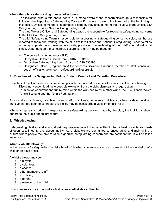#### **Where there is a safeguarding concern/disclosure:**

- The individual who is told about, hears, or is made aware of the concern/disclosure is responsible for following the Reporting a Safeguarding Concern Procedure shown in the flowchart at the beginning of this policy. Unless someone is in immediate danger, they should inform their club Welfare Officer, LTA Safeguarding Team or National Safeguarding Lead.
- The club Welfare Officer and Safeguarding Leads are responsible for reporting safeguarding concerns to the LTA Safe Safeguarding Team.
- The LTA Safeguarding Team is responsible for assessing all safeguarding concern/disclosures that are reported to them and working with the club Welfare Officer and National Safeguarding Leads to follow up as appropriate on a case-by-case basis, prioritising the well-being of the child/ adult at risk at all times. Dependent on the concern/disclosure, a referral may be made to:
	- o The police in an emergency (999); Derbyshire Childrens Social Care – 01629 533190
	- o Derbyshire Safeguarding Adults Board 01629 533190
	- $\circ$  Designated Officer (England only) for concerns/disclosures about a member of staff, consultant, coach, official or volunteer *–* safeguarding@lta.org.uk

#### **5. Breaches of the Safeguarding Policy, Code of Conduct and Reporting Procedure**

Breaches of this Policy and/or failure to comply with the outlined responsibilities may result in the following:

- Disciplinary action leading to possible exclusion from the club, dismissal and legal action
- Termination of current and future roles within the club and roles in other clubs, the LTA, Tennis Wales, Tennis Scotland and the Tennis Foundation*.*

Actions taken by players, parents or carers, staff, consultants, volunteers, officials, coaches inside or outside of the club that are seen to contradict this Policy may be considered a violation of this Policy.

Where an appeal is lodged in response to a safeguarding decision made by the club, the individual should adhere to the club's appeal procedure.

#### **6. Whistleblowing**

Safeguarding children and adults at risk requires everyone to be committed to the highest possible standards of openness, integrity and accountability. As a club, we are committed to encouraging and maintaining a culture where people feel able to raise a genuine safeguarding concern and are confident that it will be taken seriously.

#### **What is whistle blowing?**

In the context of safeguarding, "whistle blowing" is when someone raises a concern about the well-being of a child or an adult at risk.

A whistle blower may be:

- a player;
- a volunteer;
- a coach;
- other member of staff;
- an official;
- a parent;
- a member of the public.

#### **How to raise a concern about a child or an adult at risk at the club**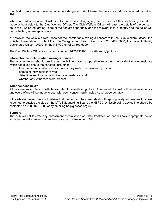If a child or an adult at risk is in immediate danger or risk of harm, the police should be contacted by calling 999.

Where a child or an adult at risk is not in immediate danger, any concerns about their well-being should be made without delay to the Club Welfare Officer. The Club Welfare Officer will pass the details of the concern on to the LTA Safeguarding Team at the earliest opportunity and the relevant local authority and the police will be contacted, where appropriate.

If, however, the whistle blower does not feel comfortable raising a concern with the Club Welfare Officer, the whistle blower should contact the LTA Safeguarding Team directly on 020 8487 7000, the Local Authority Designated Officer (LADO) or the NSPCC on 0808 800 5000.

The Club Welfare Officer can be contacted on: 07754531681 or cathreeds@aol.com

#### **Information to include when raising a concern**

The whistle blower should provide as much information as possible regarding the incident or circumstance which has given rise to the concern, including:

- their name and contact details (unless they wish to remain anonymous);
	- names of individuals involved;
	- date, time and location of incident/circumstance; and
- whether any witnesses were present.

#### **What happens next?**

All concerns raised by a whistle blower about the well-being of a child or an adult at risk will be taken seriously and every effort will be made to deal with each concern fairly, quickly and proportionately.

If the whistle blower does not believe that the concern has been dealt with appropriately and wishes to speak to someone outside the club or the LTA Safeguarding Team, the NSPCC Whistleblowing advice line should be contacted on 0800 028 0285 or by emailing [help@nspcc.org.uk.](mailto:help@nspcc.org.uk)

#### **Support**

The club will not tolerate any harassment, victimisation or unfair treatment of, and will take appropriate action to protect, whistle blowers when they raise a concern in good faith.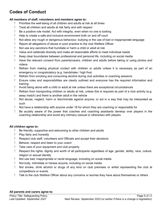# **Codes of Conduct**

#### **All members of staff, volunteers and members agree to:**

- Prioritise the well-being of all children and adults at risk at all times
- Treat all children and adults at risk fairly and with respect
- Be a positive role model. Act with integrity, even when no one is looking
- Help to create a safe and inclusive environment both on and off court
- Not allow any rough or dangerous behaviour, bullying or the use of bad or inappropriate language
- Report all allegations of abuse or poor practice to the club Welfare Officer
- Not use any sanctions that humiliate or harm a child or adult at risk
- Value and celebrate diversity and make all reasonable efforts to meet individual needs
- Keep clear boundaries between professional and personal life, including on social media
- Have the relevant consent from parents/carers, children and adults before taking or using photos and videos
- Refrain from making physical contact with children or adults unless it is necessary as part of an emergency or congratulatory (e.g. handshake / high five)
- Refrain from smoking and consuming alcohol during club activities or coaching sessions
- Ensure roles and responsibilities are clearly outlined and everyone has the required information and training
- Avoid being alone with a child or adult at risk unless there are exceptional circumstances
- Refrain from transporting children or adults at risk, unless this is required as part of a club activity (e.g. away match) and there is another adult in the vehicle
- Not abuse, neglect, harm or discriminate against anyone; or act in a way that may be interpreted as such
- Not have a relationship with anyone under 18 for whom they are coaching or responsible for
- Be acutely aware of the power that coaches and coaching assistants develop over players in the coaching relationship and avoid any intimacy (sexual or otherwise) with players

#### **All children agree to:**

- Be friendly, supportive and welcoming to other children and adults
- Play fairly and honestly
- Respect club staff, volunteers and Officials and accept their decisions
- Behave, respect and listen to your coach
- Take care of your equipment and club property
- Respect the rights, dignity and worth of all participants regardless of age, gender, ability, race, culture, religion or sexual identity
- Not use bad, inappropriate or racist language, including on social media
- Not bully, intimidate or harass anyone, including on social media
- Not smoke, drink alcohol or drugs of any kind on club premises or whilst representing the club at competitions or events
- Talk to the club Welfare Officer about any concerns or worries they have about themselves or others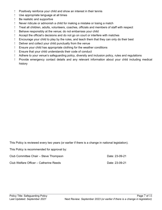- Positively reinforce your child and show an interest in their tennis
- Use appropriate language at all times
- Be realistic and supportive
- Never ridicule or admonish a child for making a mistake or losing a match
- Treat all children, adults, volunteers, coaches, officials and members of staff with respect
- Behave responsibly at the venue; do not embarrass your child
- Accept the official's decisions and do not go on court or interfere with matches
- Encourage your child to play by the rules, and teach them that they can only do their best
- Deliver and collect your child punctually from the venue
- Ensure your child has appropriate clothing for the weather conditions
- Ensure that your child understands their code of conduct
- Adhere to your venue's safeguarding policy, diversity and inclusion policy, rules and regulations
- Provide emergency contact details and any relevant information about your child including medical history

This Policy is reviewed every two years (or earlier if there is a change in national legislation).

|  | This Policy is recommended for approval by: |  |  |  |
|--|---------------------------------------------|--|--|--|
|--|---------------------------------------------|--|--|--|

| Club Committee Chair – Steve Thompson  | Date: 23-09-21 |  |
|----------------------------------------|----------------|--|
| Club Welfare Officer – Catherine Reeds | Date: 23-09-21 |  |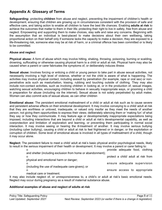## **Appendix A: Glossary of Terms**

**Safeguarding:** protecting **children** from abuse and neglect, preventing the impairment of children's health or development, ensuring that children are growing up in circumstances consistent with the provision of safe and effective care, and taking action to enable all children to have the best life chances. Enabling **adults at risk** to achieve the outcomes that matter to them in their life; protecting their right to live in safety, free from abuse and neglect. Empowering and supporting them to make choices, stay safe and raise any concerns. Beginning with the assumption that an individual is best-placed to make decisions about their own wellbeing, taking proportional action on their behalf only if someone lacks the capacity to make a decision, they are exposed to a life-threatening risk, someone else may be at risk of harm, or a criminal offence has been committed or is likely to be committed.

#### **Abuse and neglect**

**Physical abuse:** A form of abuse which may involve hitting, shaking, throwing, poisoning, burning or scalding, drowning, suffocating or otherwise causing physical harm to a child or adult at risk. Physical harm may also be caused when a parent or carer fabricates the symptoms of, or deliberately induces illness

**Sexual abuse:** Involves forcing or enticing a child or young person to take part in abuse sexual activities, not necessarily involving a high level of violence, whether or not the child is aware of what is happening. The activities may involve physical contact, including assault by penetration (for example, rape or oral sex) or nonpenetrative acts such as masturbation, kissing, rubbing and touching outside of clothing. They may also include non-contact activities, such as involving children in looking at, or in the production of, sexual images, watching sexual activities, encouraging children to behave in sexually inappropriate ways, or grooming a child in preparation for abuse (including via the internet). Sexual abuse is not solely perpetrated by adult males. Women can also commit acts of sexual abuse, as can other children

**Emotional abuse:** The persistent emotional maltreatment of a child or adult at risk such as to cause severe and persistent adverse effects on their emotional development. It may involve conveying to a child/ adult at risk that they are worthless or unloved, inadequate, or valued only insofar as they meet the needs of another person; not giving them opportunities to express their views; deliberately silencing them or 'making fun' of what they say or how they communicate. It may feature age or developmentally inappropriate expectations being imposed, including interactions that are beyond a child or adult at risk's developmental capability, as well as overprotection and limitation of exploration and learning, or preventing them participating in normal social interaction. It may involve seeing or hearing the ill-treatment of another. It may involve serious bullying (including cyber bullying), causing a child or adult at risk to feel frightened or in danger, or the exploitation or corruption of children. Some level of emotional abuse is involved in all types of maltreatment of a child, though it may occur alone.

**Neglect:** The persistent failure to meet a child/ adult at risk's basic physical and/or psychological needs, likely to result in the serious impairment of their health or development. It may involve a parent or carer failing to:

| $\Omega$                                                    | provide adequate food, clothing     |
|-------------------------------------------------------------|-------------------------------------|
| and shelter (including exclusion from home or abandonment); |                                     |
| $\Omega$                                                    | protect a child/ adult at risk from |
| physical and emotional harm or danger;                      |                                     |
| $\Omega$                                                    | ensure adequate supervision         |
| (including the use of inadequate care-givers); or           |                                     |
| $\Omega$                                                    | ensure access to appropriate        |
| medical care or treatment.                                  |                                     |

It may also include neglect of, or unresponsiveness to, a child's or adult at risk's basic emotional needs. Neglect may occur during pregnancy as a result of maternal substance abuse.

#### **Additional examples of abuse and neglect of adults at risk**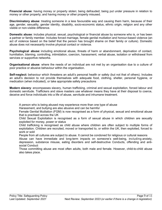**Financial abuse**: having money or property stolen; being defrauded; being put under pressure in relation to money or other property; and having money or other property misused.

**Discriminatory abuse**: treating someone in a less favourable way and causing them harm, because of their age, gender, sexuality, gender identity, disability, socio-economic status, ethnic origin, religion and any other visible or non-visible difference.

**Domestic abuse**: includes physical, sexual, psychological or financial abuse by someone who is, or has been a partner or family member. Includes forced marriage, female genital mutilation and honour-based violence (an act of violence based on the belief that the person has brought shame on their family or culture). Domestic abuse does not necessarily involve physical contact or violence.

**Psychological abuse:** including emotional abuse, threats of harm or abandonment, deprivation of contact, humiliation, blaming, controlling, intimidation, coercion, harassment, verbal abuse, isolation or withdrawal from services or supportive networks.

**Organisational abuse**: where the needs of an individual are not met by an organisation due to a culture of poor practice or abusive behaviour within the organisation.

**Self-neglect:** behaviour which threatens an adult's personal health or safety (but not that of others). Includes an adult's decision to not provide themselves with adequate food, clothing, shelter, personal hygiene, or medication (when indicated), or take appropriate safety precautions

**Modern slavery**: encompasses slavery, human trafficking, criminal and sexual exploitation, forced labour and domestic servitude. Traffickers and slave masters use whatever means they have at their disposal to coerce, deceive and force individuals into a life of abuse, servitude and inhumane treatment.

A person who is being abused may experience more than one type of abuse

Harassment, and bullying are also abusive and can be harmful

Female Genital Mutilation (FGM) is now recognised as a form of physical, sexual and emotional abuse that is practised across the UK

Child Sexual Exploitation is recognised as a form of sexual abuse in which children are sexually exploited for money, power or status

Child trafficking is recognised as child abuse where children are often subject to multiple forms of exploitation. Children are recruited, moved or transported to, or within the UK, then exploited, forced to work or sold

People from all cultures are subject to abuse. It cannot be condoned for religious or cultural reasons

Abuse can have immediate and long-term impacts on someone's well-being, including anxiety, depression, substance misuse, eating disorders and self-destructive Conducts, offending and antisocial Conduct

Those committing abuse are most often adults, both male and female. However, child-to-child abuse also takes place.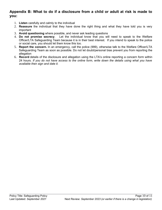### **Appendix B: What to do if a disclosure from a child or adult at risk is made to you:**

- 1. **Listen** carefully and calmly to the individual
- 2. **Reassure** the individual that they have done the right thing and what they have told you is very important
- 3. **Avoid questioning** where possible, and never ask leading questions
- 4. **Do not promise secrecy**. Let the individual know that you will need to speak to the Welfare Officer/LTA Safeguarding Team because it is in their best interest. If you intend to speak to the police or social care, you should let them know this too.
- 5. **Report the concern.** In an emergency, call the police (999), otherwise talk to the Welfare Officer/LTA Safeguarding Team as soon as possible. Do not let doubt/personal bias prevent you from reporting the allegation
- 6. **Record** details of the disclosure and allegation using the LTA's online reporting a concern form within 24 hours*. If you do not have access to the online form, write down the details using what you have available then sign and date it.*